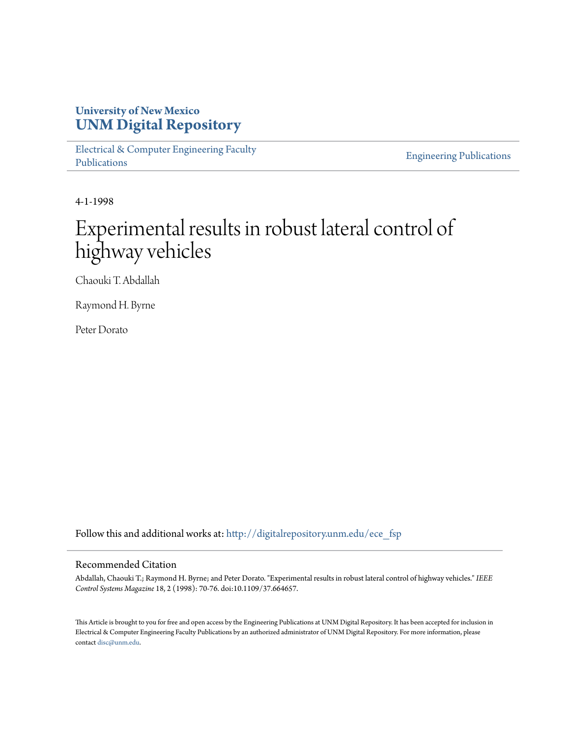## **University of New Mexico [UNM Digital Repository](http://digitalrepository.unm.edu?utm_source=digitalrepository.unm.edu%2Fece_fsp%2F227&utm_medium=PDF&utm_campaign=PDFCoverPages)**

[Electrical & Computer Engineering Faculty](http://digitalrepository.unm.edu/ece_fsp?utm_source=digitalrepository.unm.edu%2Fece_fsp%2F227&utm_medium=PDF&utm_campaign=PDFCoverPages) [Publications](http://digitalrepository.unm.edu/ece_fsp?utm_source=digitalrepository.unm.edu%2Fece_fsp%2F227&utm_medium=PDF&utm_campaign=PDFCoverPages)

[Engineering Publications](http://digitalrepository.unm.edu/eng_fsp?utm_source=digitalrepository.unm.edu%2Fece_fsp%2F227&utm_medium=PDF&utm_campaign=PDFCoverPages)

4-1-1998

# Experimental results in robust lateral control of highway vehicles

Chaouki T. Abdallah

Raymond H. Byrne

Peter Dorato

Follow this and additional works at: [http://digitalrepository.unm.edu/ece\\_fsp](http://digitalrepository.unm.edu/ece_fsp?utm_source=digitalrepository.unm.edu%2Fece_fsp%2F227&utm_medium=PDF&utm_campaign=PDFCoverPages)

### Recommended Citation

Abdallah, Chaouki T.; Raymond H. Byrne; and Peter Dorato. "Experimental results in robust lateral control of highway vehicles." *IEEE Control Systems Magazine* 18, 2 (1998): 70-76. doi:10.1109/37.664657.

This Article is brought to you for free and open access by the Engineering Publications at UNM Digital Repository. It has been accepted for inclusion in Electrical & Computer Engineering Faculty Publications by an authorized administrator of UNM Digital Repository. For more information, please contact [disc@unm.edu.](mailto:disc@unm.edu)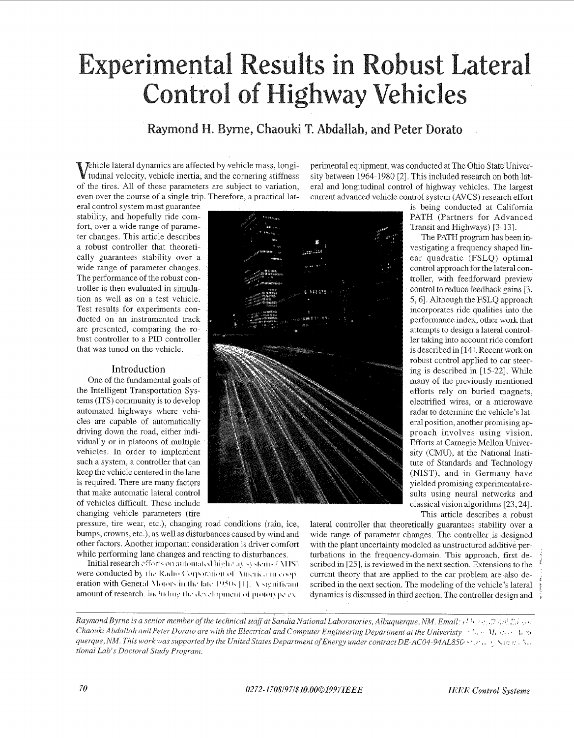# **Experimental Results in Robust Lateral Control of Highway Vehicles**

### Raymond H. Byrne, Chaouki T. Abdallah, and Peter Dorato

Thicle lateral dynamics are affected by vehicle mass, longi-I tudinal velocity, vehicle inertia, and the cornering stiffness of the tires. All of these parameters are subject to variation, even over the course of a single trip. Therefore, a practical lat-

era1 control system must guarantee stability, and hopefully ride comfort, over a wide range of parameter changes. This article describes a robust controller that theoretically guarantees stability over a wide range of parameter changes. The performance of the robust controller is then evaluated in simulation as well as on a test vehicle. Test results for experiments conducted on an instrumented track are presented, comparing the robust controller to a PID controller that was tuned on the vehicle.

#### Introduction

One of the fundamental goals of the Intelligent Transportation Systems (ITS) community is to develop automated highways where vehicles are capable of automatically driving down the road, either individually or in platoons of multiple vehicles. In order to implement such a system, a controller that can keep the vehicle centered in the lane is required. There are many factors that make automatic lateral control of vehicles difficult. These include changing vehicle parameters (tire

perimental equipment, was conducted at The Ohio State University between 1964-1980 [2]. This included research on both lateral and longitudinal control of highway vehicles. The largest current advanced vehicle control system (AVCS) research effort



is being conducted at Califomia PATH (Partners for Advanced Transit and Highways) [3-131.

The PATH program has been investigating a frequency shaped linear quadratic (FSLQ) optimal control approach for the lateral controller, with feedforward preview control to reduce feedback gains [3, 5,6]. Although theFSLQ approach incorporates ride qualities into the performance index, other work that attempts to design a lateral controller taking into account ride comfort is described in [ 141. Recent work on robust control applied to car steering is described in [15-221. While many of the previously mentioned efforts rely on buried magnets, electrified wires, or a microwave radar to determine the vehicle's lateral position, another promising approach involves using vision. Efforts at Carnegie Mellon University (CMU), at the National Institute of Standards and Technology (NIST), and in Germany have yielded promising experimental results using neural networks and classical vision algorithms [23,24]. This article describes a robust

pressure, tire wear, etc.), changing road conditions (rain, ice, bumps, crowns, etc.), as well as disturbances caused by wind and other factors. Another important consideration is driver comfort while performing lane changes and reacting to disturbances.

1nitialresearch~ff~li.t;. oii >!iloiii;ilt,(l **lii;.ll .i** .I!. .:. 4.1i1. **ZTTSI**  were conducted by the Radio Corporation of America in coop eration with General Motors in the late 1950s [1]. A significant amount of research. including the development of prototype exlateral controller that theoretically guarantees stability over a wide range of parameter changes. The controller is ,designed with the plant uncertainty modeled as unstructured additive perturbations in the frequency-domaim This approach. first described in [25], is reviewed in the next section. Extensions to the current theory that are applied to the car problem are also described in the next section. The modeling of the vehicle's lateral dynamics is discussed in third section. The controller design and

*Raymond Byrne is a senior member of the technical staff at Sandia National Laboratories, Albuquerque, NM. Email:*  $i^{1}$  *<i>i*  $\cdots$  .:  $i^{2}$   $\cdots$   $i^{2}$   $\cdots$ *Chaouki Abdallah and Peter Dorato are with the Electrical and Computer Engineering Department at the Univeristy Alemandery in the state of the state of the State At the Electrical and Computer Engineering Department at queque, NM. This work was supported by the United States Department of Energy under contract DE-AC04-94AL85G.* .. , :. , **B-** \,: :: :: . **I,.** I. *tional Lab's Doctoral Study Program.*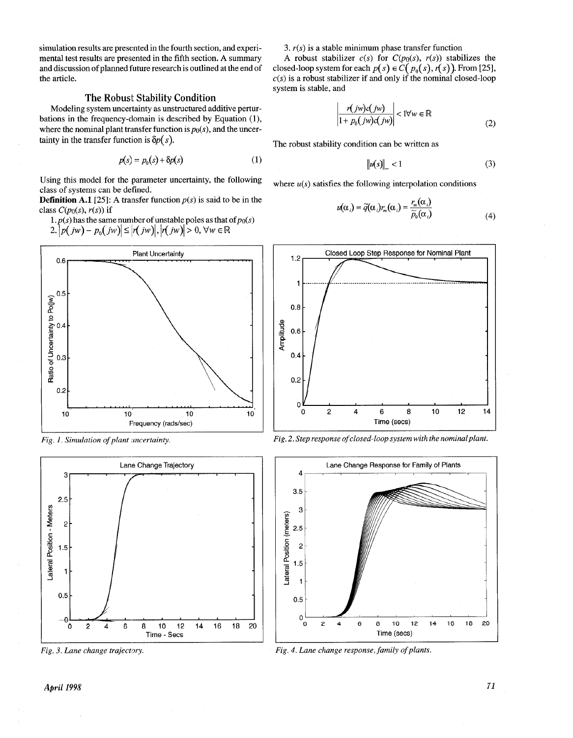simulation results are presented in the fourth section, and experimental test results are presented in the fifth section. **A** summary and discussion of planned future research is outlined at the end of the article.

#### The Robust Stability Condition

Modeling system uncertainty as unstructured additive perturbations in the frequency-domain is described by Equation (1), where the nominal plant transfer function is  $p_0(s)$ , and the uncertainty in the transfer function is  $\delta p(s)$ .

$$
p(s) = p_0(s) + \delta p(s) \tag{1}
$$

Using this model for the parameter uncertainty, the following class of systems can be defined.

**Definition A.1** [25]: A transfer function  $p(s)$  is said to be in the class  $C(p_0(s), r(s))$  if<br>1.  $p(s)$  has the same number of unstable poles as that of  $p_0(s)$ 

2.  $|p(jw) - p_0(jw)| \le |r(jw)|, |r(jw)| > 0, \forall w \in \mathbb{R}$ 







3.  $r(s)$  is a stable minimum phase transfer function

A robust stabilizer  $c(s)$  for  $C(p_0(s), r(s))$  stabilizes the closed-loop system for each  $p(s) \in C(p_0(s), r(s))$ . From [25],  $c(s)$  is a robust stabilizer if and only if the nominal closed-loop system is stable, and

$$
\left| \frac{r(jw)c(jw)}{1 + p_0(jw)c(jw)} \right| < 1 \forall w \in \mathbb{R} \tag{2}
$$

The robust stability condition can be written as

$$
\|u(s)\|_{\infty} < 1\tag{3}
$$

where  $u(s)$  satisfies the following interpolation conditions

$$
u(\alpha_i) = \widetilde{q}(\alpha_i) r_m(\alpha_i) = \frac{r_m(\alpha_i)}{\widetilde{p}_0(\alpha_i)}
$$
(4)



*Fig. 1. Simulation of plant /mcertainty. Fig. 2. Step response of closed-loop system with the nominalplant,* 



*Fig. 4. Lane change response, family of plants.*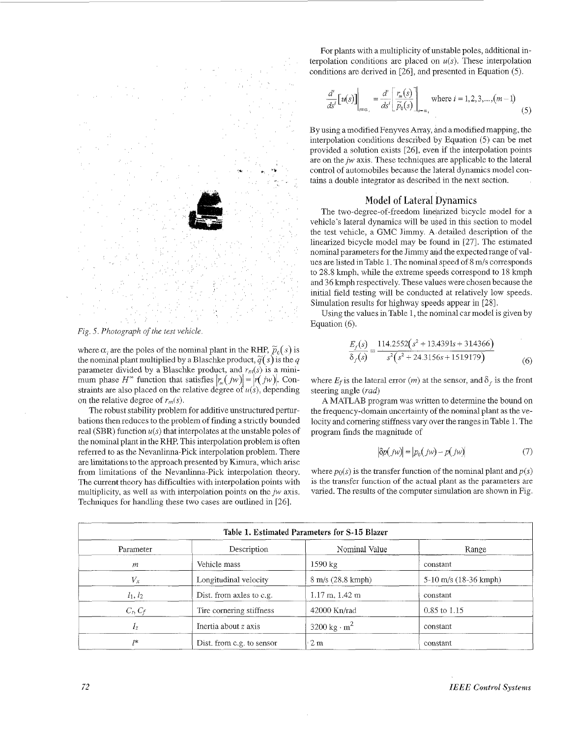

where  $\alpha_i$  are the poles of the nominal plant in the RHP,  $\tilde{p}_0(s)$  is the nominal plant multiplied by a Blaschke product,  $\tilde{q}(s)$  is the *q* parameter divided by a Blaschke product, and  $r_m(s)$  is a minimum phase *H*<sup>\*</sup> function that satisfies  $|r_n(jw)| = |r(jw)|$ . Conon the relative degree of  $r_m(s)$ . straints are also placed on the relative degree of  $u(s)$ , depending

The robust stability problem for additive unstructured perturbations then reduces to the problem of finding a strictly bounded real (SBR) function  $u(s)$  that interpolates at the unstable poles of the nominal plant in the RHP. This interpolation problem is often referred to as the Nevanlinna-Pick interpolation problem. There are limitations to the approach presented by Kimura, which arise from limitations of the Nevanlinna-Pick interpolation theory. The current theory has difficulties with interpolation points with multiplicity, as well as with interpolation points on the  $jw$  axis. Techniques for handling these two cases are outlined in *[26].* 

For plants with a multiplicity of unstable poles, additional interpolation conditions are placed on  $u(s)$ . These interpolation conditions are derived in [26], and presented in Equation (5)

$$
\frac{d^i}{ds^i} [u(s)]\Big|_{s=\alpha_i} = \frac{d^i}{ds^i} \left[\frac{r_m(s)}{\widetilde{p}_0(s)}\right]_{s=\alpha_i} \text{ where } i = 1, 2, 3, \dots, (m-1)
$$
 (5)

By using a modified Fenyves Array, and a modified mapping, the interpolation conditions descnbed by Equation (5) can be met provided a solution exists [26], even if the interpolation pomts are on the  $jw$  axis. These techniques are applicable to the lateral control of automobiles because the lateral dynamics model contains a double integrator as described m the next section.

#### Model of Lateral Dynamics

The two-degree-of-freedom lmearized bicycle model for a vehicle's lateral dynamics will be used in this section to model the test vehicle, a GMC Jimmy A detailed description of the linearized bicycle model may be found in *[27].* The estimated nominal parameters for the Jimmy and the expected range of values are listed in Table 1. The nominal speed of 8 m/s corresponds to 28.8 kmph, while the extreme speeds correspond to 18 kmph and 36 kmph respectively. These values were chosen because the initial field testing will be conducted at relatively low speeds. Simulation results for highway speeds appear in [28].

Using the values in Table 1, the nominal car model is given by

$$
\frac{E_f(s)}{\delta_f(s)} = \frac{114.2552(s^2 + 13.4391s + 314366)}{s^2(s^2 + 24.3156s + 1519179)}
$$
(6)

where  $E_t$  is the lateral error *(m)* at the sensor, and  $\delta_t$  is the front steering angle *(rad)* 

A MATLAB program was written to determine the bound on the frequency-domain uncertainty of the nominal plant as the velocity and cornering stiffness vary over the ranges in Table l. The program finds the magnitude of

$$
|\delta p(jw)| = |p_0(jw) - p(jw)| \tag{7}
$$

where  $p_0(s)$  is the transfer function of the nominal plant and  $p(s)$ is the transfer function of the actual plant as the parameters are varied. The results of the computer simulation are shown in Fig.

| Table 1. Estimated Parameters for S-15 Blazer |                           |                                  |                           |  |  |
|-----------------------------------------------|---------------------------|----------------------------------|---------------------------|--|--|
| Parameter                                     | Description               | Nominal Value                    | Range                     |  |  |
| т                                             | Vehicle mass              | $1590 \text{ kg}$                | constant                  |  |  |
| $V_x$                                         | Longitudinal velocity     | $8 \text{ m/s}$ (28.8 kmph)      | $5-10$ m/s $(18-36$ kmph) |  |  |
| $l_1, l_2$                                    | Dist. from axles to c.g.  | $1.17 \text{ m}, 1.42 \text{ m}$ | constant                  |  |  |
| $C_r, C_f$                                    | Tire cornering stiffness  | $42000$ Kn/rad                   | 0.85 to 1.15              |  |  |
| $I_z$                                         | Inertia about z axis      | 3200 kg $\cdot$ m <sup>2</sup>   | constant                  |  |  |
| $7*$                                          | Dist, from c.g. to sensor | 2m                               | constant                  |  |  |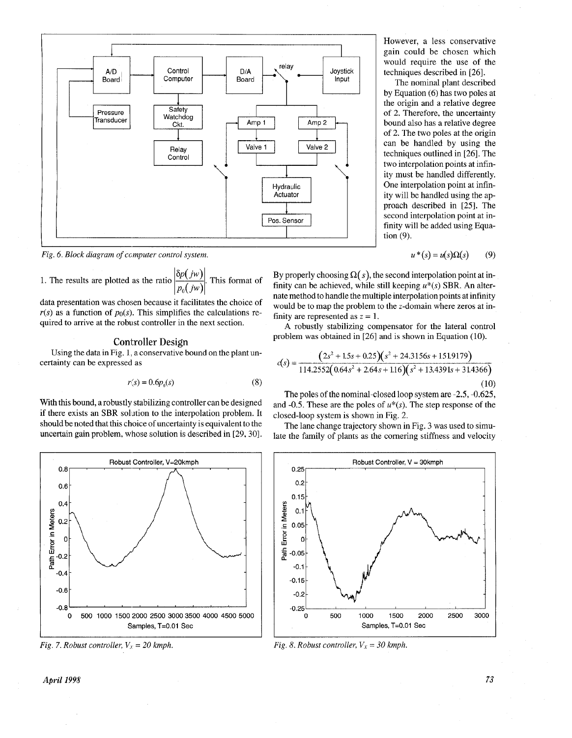<span id="page-4-0"></span>

*Fig. 6. Block diagram of computer control system.* 

*Fig. 6. Block alagram of computer control system.*<br>1. The results are plotted as the ratio  $\frac{\left| \delta p(jw) \right|}{p_0(jw)}$ . This format of

data presentation was chosen because it facilitates the choice of  $r(s)$  as a function of  $p_0(s)$ . This simplifies the calculations required to arrive at the robust controller in the next section.

#### Controller Design

Using the data in Fig. 1. a conservative bound on the plant uncertainty can be expressed as

$$
r(s) = 0.6p_0(s) \tag{8}
$$

With this bound, a robustly stabilizing controller can be designed if there exists an SBR solution to the interpolation problem. It should be noted that this choice of uncertainty is equivalent to the uncertain gain problem, whose solution is described in [29,30].



*Fig. 7. Robust controller,*  $V_x = 20$  kmph.

However, a less conservative gain could be chosen which would require the use of the techniques described in [26].

The nominal plant described by Equation (6) has two poles at the origin and a relative degree of 2. Therefore, the uncertainty bound also has a relative degree of *2.* The two poles at the origin can be handled by using the techniques outlined in [26]. The two interpolation points at infinity must be handled differently. One interpolation point at infinity will be handled using the approach described in [25]. The second interpolation point at infinity will be added using Equation (9).

> $u^*(s) = u(s)\Omega(s)$  $(9)$

By properly choosing  $\Omega(s)$ , the second interpolation point at infinity can be achieved, while still keeping  $u^*(s)$  SBR. An alternate method to handle the multiple interpolation points at infinity would be to map the problem to the z-domain where zeros at infinity are represented as  $z = 1$ .

**A** robustly stabilizing compensator for the lateral control problem was obtained in [26] and is shown in Equation (10).

$$
c(s) = \frac{(2s^2 + 1.5s + 0.25)(s^2 + 24.3156s + 151.9179)}{114.2552(0.64s^2 + 2.64s + 1.16)(s^2 + 13.4391s + 31.4366)}
$$
\n(10)

The poles of the nominal-closed loop system are *-2.5,* -0.625, and -0.5. These are the poles of *u\*(s).* The step response of the closed-loop system is shown in Fig. 2.

The lane change trajectory shown in Fig. 3 was used to simulate the family of plants as the comering stiffness and velocity



*Fig. 8. Robust controller,*  $V_x = 30$  kmph.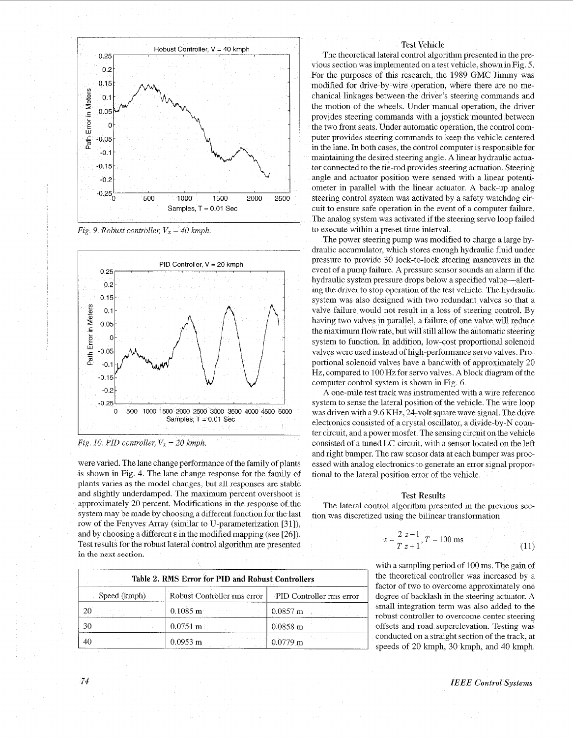<span id="page-5-0"></span>

*Fig.* 9. Robust controller,  $V_x = 40$  kmph.



*Fig. 10. PID controller,*  $V_x = 20$  kmph.

were varied. The lane change performance of the family of plants is shown in Fig. 4. The lane change response for the family of plants varies as the model changes, but all responses are stable and slightly underdamped. The maximum percent overshoot is approximately 20 percent. Modifications in the response of the system may be made by choosing a different function for the last row of the Fenyves Array (similar to U-parameterization [31]), and by choosing a different **E** in the modified mapping (see *[26]).*  Test results for the robust lateral control algorithm are presented in the next section,

|              | Table 2. RMS Error for PID and Robust Controllers      |                    |  |
|--------------|--------------------------------------------------------|--------------------|--|
| Speed (kmph) | Robust Controller rms error   PID Controller rms error |                    |  |
|              | $0.1085$ m                                             | $-0.0857$ m        |  |
| 30           | $0.0751 \text{ m}$                                     | $0.0858 \text{ m}$ |  |
|              | $0.0953$ m<br>international control and 201            | $0.0779 \text{ m}$ |  |

#### Test Vehicle

**Example 11**<br>
Test Vehicle<br>
The theoretical lateral control algorithm presented in the pre-<br>
violes section was implemented in a last vehicle, shown in Fig. 5.<br>
You were the parposes of dhis research, the 1989 GMC limming The theoretica<br>
vious section was<br>
For the purposes<br>
modified for driv<br>
chanical linkages<br>
the motion of the<br>
provides steering<br>
the two front seat:<br>
puter provides steering<br>
the two front seat:<br>
puter provides steering<br>
t The theoretical lateral control algorithm presented in the previous section was implemented on a test vehicle, shown in Fig. 5. For the purposes of this research, the 1989 GMC Jimmy was modified for drive-by-wire operation, where there are no mechanical linkages between the driver's steering commands and the motion of the wheels Under manual operation, the driver provides steering commands with a joystick mounted between the two front seats. Under automatic operation, the control computer provides steering commands to keep the vehicle centered in the lane. In both cases, the control computer is responsible for maintaining the desired steering angle. **A** linear hydraulic actuator connected to the tie-rod provides steering actuation. Steering angle and actuator position were sensed with a linear potentiometer in parallel with the linear actuator. A back-up analog steering control system was activated by a safety watchdog circuit to ensure safe operation in the event of a computer failure. The analog system was activated if the steering servo loop faded to execute within a preset time interval.

The power steering pump was modified to charge a large hydraulic accumulator, which stores enough hydraulic fluid under pressure to provide 30 lock-to-lock steering maneuvers in the event of a pump farlure. A pressure sensor sounds an alarm if the hydraulic system pressure drops below a specified value-alerting the driver to stop operation of the test vehicle. The hydraulic system was also designed with two redundant valves so that a valve failure would not result in a loss of steering control. By having two valves in parallel, a failure of one valve will reduce the maximum flow rate, but will still allow the automatic steering system to function. In addition, low-cost proportional solenoid valves were used instead of high-performance servo valves. Proportional solenoid valves have a bandwith of approximately 20 Hz, compared to 100 **Hz** for servo valves. A block diagram of the computer control system is shown in [Fig. 6.](#page-4-0)

**A** one-mile test track was instrumented with a wire reference system to sense the lateral position of the vehicle. The wire loop was driven with a 9.6 KHz, 24-volt square wave signal. The drive electronics consisted of a crystal oscillator, a divide-by-N counter circuit, and apower mosfet The sensing circuit on the vehicle consisted of a tuned LC-circuit, with a sensor located on the left and right bumper. The raw sensor data at each bumper was processed with analog electromcs to generate an error signal proportional to the lateral position error of the vehicle.

#### Test Results

The lateral control algorithm presented in the previous section was discretized using the bilinear transformation

$$
s = \frac{2 z - 1}{T z + 1}, T = 100 \text{ ms}
$$
 (11)

with a sampling period of 100 ms. The gain of the theoretical controller was increased by a factor of two to overcome approximately one degree of backlash in the steering actuator. A small integration term was also added to the robust controller to overcome center steering offsets and road superelevation. Testing was conducted on a straight section of the track, at speeds of 20 kmph, 30 kmph, and 40 kmph.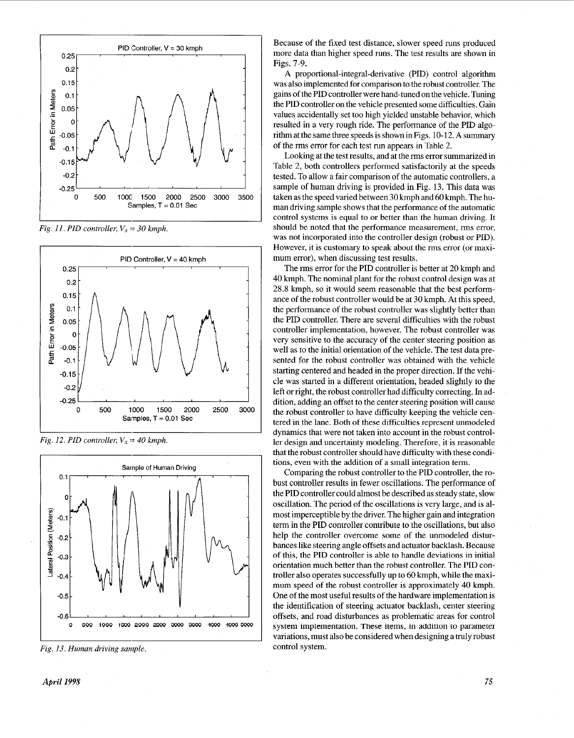

*Fig. 11. PID controller,*  $V_x = 30$  *kmph.* 



*Fig. 12. PID controller,*  $V_x = 40$  *kmph.* 



*Fig. 13. Human driving sample* 

Because of the fixed test distance, slower speed runs produced more data than higher speed runs. The test results are shown in Figs. 7-9.

**A** proportional-integral-derivative (PID) control algorithm was also implemented for comparison to the robust controller. The gains of the PID controller were hand-tuned on the vehicle. Tuning the PID controller on the vehicle presented some difficulties. Gain values accidentally set too high yielded unstable behavior, which resulted in a very rough ride. The performance of the PID algorithm at the same three speeds is shown in Figs. 10-12. **A** summary of the rms error for each test run appears in [Table 2.](#page-5-0) 

Looking at the test results, and at therms error summarized in Table 2, both controllers performed satisfactorily at the speeds tested. To allow a fair comparison of the automatic controllers, a sample of human driving is provided in Fig. 13. This data was taken as the speed varied between **30** kmph and 60 kmph. The human driving sample shows that the performance of the automatic control systems is equal to or better than the human driving. It should be noted that the performance measurement, rms error, was not incorporated into the controller design (robust or PID). However, it is customary to speak about the rms error (or maximum error), when discussing test results.

The rms error for the PID controller is better at **20** kmph and 40 kmph. The nominal plant for the robust control design was at 28.8 kmph, so it would seem reasonable that the best performance of the robust controller would be at 30 kmph. At this speed, the performance of the robust controller was slightly better than the PID controller. There are several difficulties with the robust controller implementation, however. The robust controller was very sensitive to the accuracy of the center steering position as well as to the initial orientation of the vehicle. The test data presented for the robust controller was obtained with the vehicle starting centered and headed in the proper direction. If the vehicle was started in a different orientation, headed slightly to the left or right, the robust controller had difficulty correcting. In addition, adding an offset to the center steering position will cause the robust controller to have difficulty keeping the vehicle centered in the lane. Both of these difficulties represent unmodeled dynamics that were not taken into account in the robust controller design and uncertainty modeling. Therefore, it is reasonable that the robust controller should have difficulty with these conditions, even with the addition of a small integration term.

Comparing the robust controller to the PID controller, the robust controller results in fewer oscillations. The performance of the PID controller could almost be described as steady state, slow oscillation. The period of the oscillations is very large, and is almost imperceptible by the driver. The higher gain and integration term in the PID controller contribute to the oscillations, but also help the controller overcome some of the unmodeled disturbances like steering angle offsets and actuator backlash. Because of **this,** the PID controller is able to handle deviations in initial orientation much better than the robust controller. The PID controller also operates successfully up to 60 kmph, while the maximum speed of the robust controller is approximately 40 kmph. One of the most useful results of the hardware implementation is the identification of steering actuator backlash, center steering offsets, **and** road disturbances as problematic areas for control system implementation. These items, in addition to parameter variations, must also be considered when designing a truly robust control system.